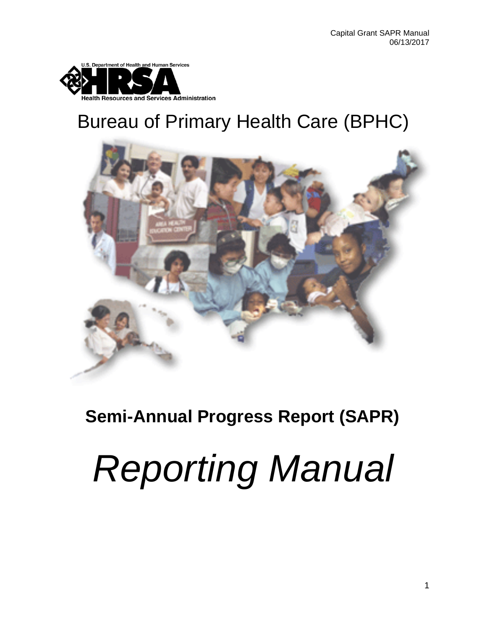

# Bureau of Primary Health Care (BPHC)



## **Semi-Annual Progress Report (SAPR)**

# *Reporting Manual*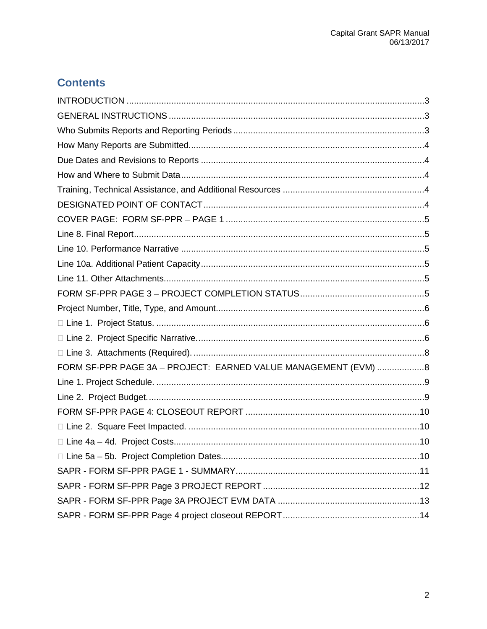## **Contents**

| FORM SF-PPR PAGE 3A - PROJECT: EARNED VALUE MANAGEMENT (EVM) 8 |
|----------------------------------------------------------------|
|                                                                |
|                                                                |
|                                                                |
|                                                                |
|                                                                |
|                                                                |
|                                                                |
|                                                                |
|                                                                |
|                                                                |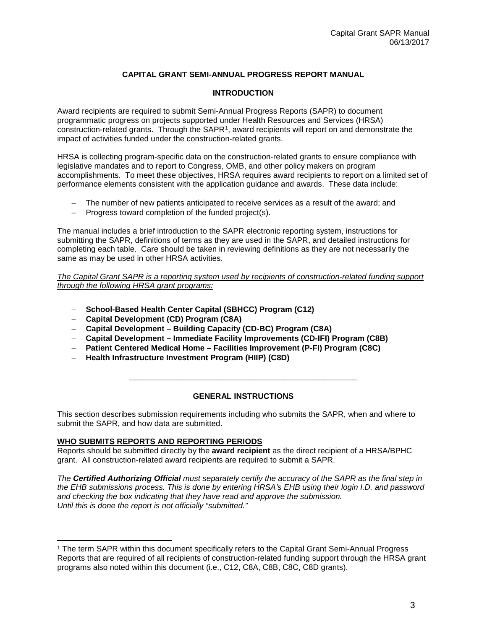#### **CAPITAL GRANT SEMI-ANNUAL PROGRESS REPORT MANUAL**

#### **INTRODUCTION**

<span id="page-2-0"></span>Award recipients are required to submit Semi-Annual Progress Reports (SAPR) to document programmatic progress on projects supported under Health Resources and Services (HRSA) construction-related grants. Through the SAPR[1,](#page-2-3) award recipients will report on and demonstrate the impact of activities funded under the construction-related grants.

HRSA is collecting program-specific data on the construction-related grants to ensure compliance with legislative mandates and to report to Congress, OMB, and other policy makers on program accomplishments. To meet these objectives, HRSA requires award recipients to report on a limited set of performance elements consistent with the application guidance and awards. These data include:

- − The number of new patients anticipated to receive services as a result of the award; and
- − Progress toward completion of the funded project(s).

The manual includes a brief introduction to the SAPR electronic reporting system, instructions for submitting the SAPR, definitions of terms as they are used in the SAPR, and detailed instructions for completing each table. Care should be taken in reviewing definitions as they are not necessarily the same as may be used in other HRSA activities.

*The Capital Grant SAPR is a reporting system used by recipients of construction-related funding support through the following HRSA grant programs:*

- − **School-Based Health Center Capital (SBHCC) Program (C12)**
- − **Capital Development (CD) Program (C8A)**
- − **Capital Development Building Capacity (CD-BC) Program (C8A)**
- − **Capital Development Immediate Facility Improvements (CD-IFI) Program (C8B)**
- − **Patient Centered Medical Home Facilities Improvement (P-FI) Program (C8C)**
- − **Health Infrastructure Investment Program (HIIP) (C8D)**

#### **GENERAL INSTRUCTIONS**

**\_\_\_\_\_\_\_\_\_\_\_\_\_\_\_\_\_\_\_\_\_\_\_\_\_\_\_\_\_\_\_\_\_\_\_\_\_\_\_\_\_\_\_\_\_\_\_**

<span id="page-2-1"></span>This section describes submission requirements including who submits the SAPR, when and where to submit the SAPR, and how data are submitted.

#### <span id="page-2-2"></span>**WHO SUBMITS REPORTS AND REPORTING PERIODS**

Reports should be submitted directly by the **award recipient** as the direct recipient of a HRSA/BPHC grant. All construction-related award recipients are required to submit a SAPR.

*The Certified Authorizing Official must separately certify the accuracy of the SAPR as the final step in the EHB submissions process. This is done by entering HRSA's EHB using their login I.D. and password and checking the box indicating that they have read and approve the submission. Until this is done the report is not officially "submitted."*

<span id="page-2-3"></span> $\overline{a}$ <sup>1</sup> The term SAPR within this document specifically refers to the Capital Grant Semi-Annual Progress Reports that are required of all recipients of construction-related funding support through the HRSA grant programs also noted within this document (i.e., C12, C8A, C8B, C8C, C8D grants).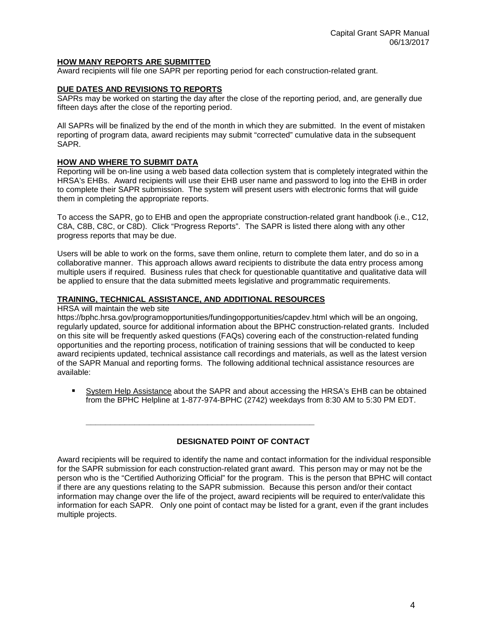#### <span id="page-3-0"></span>**HOW MANY REPORTS ARE SUBMITTED**

<span id="page-3-1"></span>Award recipients will file one SAPR per reporting period for each construction-related grant.

#### **DUE DATES AND REVISIONS TO REPORTS**

SAPRs may be worked on starting the day after the close of the reporting period, and, are generally due fifteen days after the close of the reporting period.

All SAPRs will be finalized by the end of the month in which they are submitted. In the event of mistaken reporting of program data, award recipients may submit "corrected" cumulative data in the subsequent SAPR.

#### <span id="page-3-2"></span>**HOW AND WHERE TO SUBMIT DATA**

Reporting will be on-line using a web based data collection system that is completely integrated within the HRSA's EHBs. Award recipients will use their EHB user name and password to log into the EHB in order to complete their SAPR submission. The system will present users with electronic forms that will guide them in completing the appropriate reports.

To access the SAPR, go to EHB and open the appropriate construction-related grant handbook (i.e., C12, C8A, C8B, C8C, or C8D). Click "Progress Reports". The SAPR is listed there along with any other progress reports that may be due.

Users will be able to work on the forms, save them online, return to complete them later, and do so in a collaborative manner. This approach allows award recipients to distribute the data entry process among multiple users if required. Business rules that check for questionable quantitative and qualitative data will be applied to ensure that the data submitted meets legislative and programmatic requirements.

#### <span id="page-3-3"></span>**TRAINING, TECHNICAL ASSISTANCE, AND ADDITIONAL RESOURCES**

**\_\_\_\_\_\_\_\_\_\_\_\_\_\_\_\_\_\_\_\_\_\_\_\_\_\_\_\_\_\_\_\_\_\_\_\_\_\_\_\_\_\_\_\_\_\_\_**

HRSA will maintain the web site

<https://bphc.hrsa.gov/programopportunities/fundingopportunities/capdev.html> which will be an ongoing, regularly updated, source for additional information about the BPHC construction-related grants. Included on this site will be frequently asked questions (FAQs) covering each of the construction-related funding opportunities and the reporting process, notification of training sessions that will be conducted to keep award recipients updated, technical assistance call recordings and materials, as well as the latest version of the SAPR Manual and reporting forms. The following additional technical assistance resources are available:

 System Help Assistance about the SAPR and about accessing the HRSA's EHB can be obtained from the BPHC Helpline at 1-877-974-BPHC (2742) weekdays from 8:30 AM to 5:30 PM EDT.

#### **DESIGNATED POINT OF CONTACT**

<span id="page-3-4"></span>Award recipients will be required to identify the name and contact information for the individual responsible for the SAPR submission for each construction-related grant award. This person may or may not be the person who is the "Certified Authorizing Official" for the program. This is the person that BPHC will contact if there are any questions relating to the SAPR submission. Because this person and/or their contact information may change over the life of the project, award recipients will be required to enter/validate this information for each SAPR. Only one point of contact may be listed for a grant, even if the grant includes multiple projects.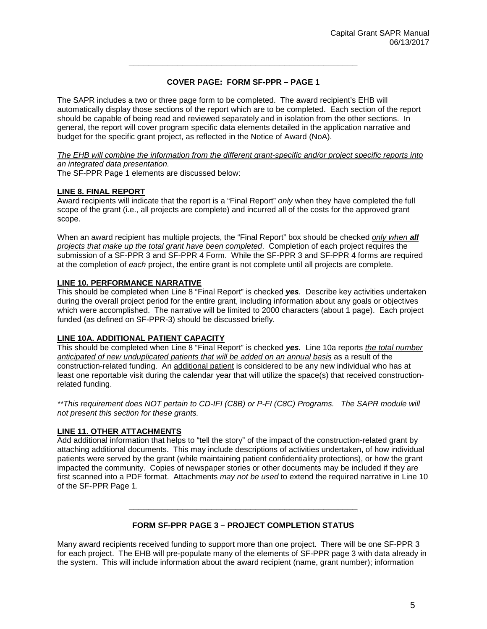#### **COVER PAGE: FORM SF-PPR – PAGE 1**

**\_\_\_\_\_\_\_\_\_\_\_\_\_\_\_\_\_\_\_\_\_\_\_\_\_\_\_\_\_\_\_\_\_\_\_\_\_\_\_\_\_\_\_\_\_\_\_**

<span id="page-4-0"></span>The SAPR includes a two or three page form to be completed. The award recipient's EHB will automatically display those sections of the report which are to be completed. Each section of the report should be capable of being read and reviewed separately and in isolation from the other sections. In general, the report will cover program specific data elements detailed in the application narrative and budget for the specific grant project, as reflected in the Notice of Award (NoA).

#### *The EHB will combine the information from the different grant-specific and/or project specific reports into an integrated data presentation.*

The SF-PPR Page 1 elements are discussed below:

#### <span id="page-4-1"></span>**LINE 8. FINAL REPORT**

Award recipients will indicate that the report is a "Final Report" *only* when they have completed the full scope of the grant (i.e., all projects are complete) and incurred all of the costs for the approved grant scope.

When an award recipient has multiple projects, the "Final Report" box should be checked *only when all projects that make up the total grant have been completed*. Completion of each project requires the submission of a SF-PPR 3 and SF-PPR 4 Form. While the SF-PPR 3 and SF-PPR 4 forms are required at the completion of *each* project, the entire grant is not complete until all projects are complete.

#### <span id="page-4-2"></span>**LINE 10. PERFORMANCE NARRATIVE**

This should be completed when Line 8 "Final Report" is checked *yes.* Describe key activities undertaken during the overall project period for the entire grant, including information about any goals or objectives which were accomplished. The narrative will be limited to 2000 characters (about 1 page). Each project funded (as defined on SF-PPR-3) should be discussed briefly.

#### <span id="page-4-3"></span>**LINE 10A. ADDITIONAL PATIENT CAPACITY**

This should be completed when Line 8 "Final Report" is checked *yes.* Line 10a reports *the total number anticipated of new unduplicated patients that will be added on an annual basis* as a result of the construction-related funding. An additional patient is considered to be any new individual who has at least one reportable visit during the calendar year that will utilize the space(s) that received constructionrelated funding.

*\*\*This requirement does NOT pertain to CD-IFI (C8B) or P-FI (C8C) Programs. The SAPR module will not present this section for these grants.*

#### <span id="page-4-4"></span>**LINE 11. OTHER ATTACHMENTS**

Add additional information that helps to "tell the story" of the impact of the construction-related grant by attaching additional documents. This may include descriptions of activities undertaken, of how individual patients were served by the grant (while maintaining patient confidentiality protections), or how the grant impacted the community. Copies of newspaper stories or other documents may be included if they are first scanned into a PDF format. Attachments *may not be used* to extend the required narrative in Line 10 of the SF-PPR Page 1.

#### **FORM SF-PPR PAGE 3 – PROJECT COMPLETION STATUS**

**\_\_\_\_\_\_\_\_\_\_\_\_\_\_\_\_\_\_\_\_\_\_\_\_\_\_\_\_\_\_\_\_\_\_\_\_\_\_\_\_\_\_\_\_\_\_\_**

<span id="page-4-5"></span>Many award recipients received funding to support more than one project. There will be one SF-PPR 3 for each project. The EHB will pre-populate many of the elements of SF-PPR page 3 with data already in the system. This will include information about the award recipient (name, grant number); information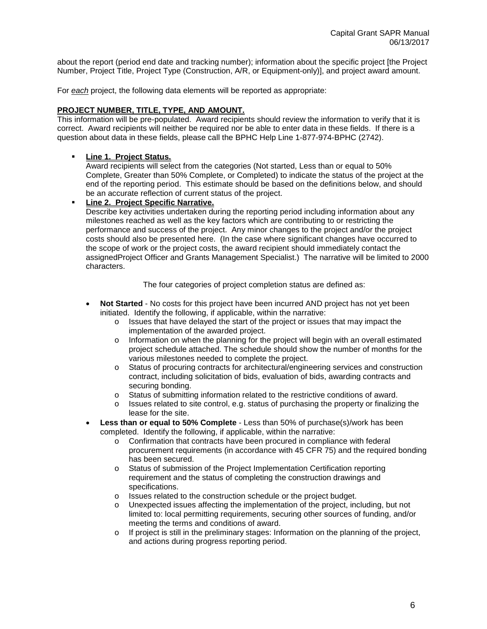about the report (period end date and tracking number); information about the specific project [the Project Number, Project Title, Project Type (Construction, A/R, or Equipment-only)], and project award amount.

For *each* project, the following data elements will be reported as appropriate:

#### <span id="page-5-0"></span>**PROJECT NUMBER, TITLE, TYPE, AND AMOUNT.**

This information will be pre-populated. Award recipients should review the information to verify that it is correct. Award recipients will neither be required nor be able to enter data in these fields. If there is a question about data in these fields, please call the BPHC Help Line 1-877-974-BPHC (2742).

#### <span id="page-5-1"></span>**Line 1. Project Status.**

Award recipients will select from the categories (Not started, Less than or equal to 50% Complete, Greater than 50% Complete, or Completed) to indicate the status of the project at the end of the reporting period. This estimate should be based on the definitions below, and should be an accurate reflection of current status of the project.

<span id="page-5-2"></span> **Line 2. Project Specific Narrative.**  Describe key activities undertaken during the reporting period including information about any milestones reached as well as the key factors which are contributing to or restricting the performance and success of the project. Any minor changes to the project and/or the project costs should also be presented here. (In the case where significant changes have occurred to the scope of work or the project costs, the award recipient should immediately contact the assignedProject Officer and Grants Management Specialist.) The narrative will be limited to 2000 characters.

The four categories of project completion status are defined as:

- **Not Started** No costs for this project have been incurred AND project has not yet been initiated. Identify the following, if applicable, within the narrative:
	- o Issues that have delayed the start of the project or issues that may impact the implementation of the awarded project.
	- $\circ$  Information on when the planning for the project will begin with an overall estimated project schedule attached. The schedule should show the number of months for the various milestones needed to complete the project.
	- o Status of procuring contracts for architectural/engineering services and construction contract, including solicitation of bids, evaluation of bids, awarding contracts and securing bonding.
	- o Status of submitting information related to the restrictive conditions of award.
	- o Issues related to site control, e.g. status of purchasing the property or finalizing the lease for the site.
- **Less than or equal to 50% Complete** Less than 50% of purchase(s)/work has been completed. Identify the following, if applicable, within the narrative:
	- o Confirmation that contracts have been procured in compliance with federal procurement requirements (in accordance with 45 CFR 75) and the required bonding has been secured.
	- o Status of submission of the Project Implementation Certification reporting requirement and the status of completing the construction drawings and specifications.
	- $\circ$  Issues related to the construction schedule or the project budget.<br>  $\circ$  Unexpected issues affecting the implementation of the project, inc
	- Unexpected issues affecting the implementation of the project, including, but not limited to: local permitting requirements, securing other sources of funding, and/or meeting the terms and conditions of award.
	- $\circ$  If project is still in the preliminary stages: Information on the planning of the project, and actions during progress reporting period.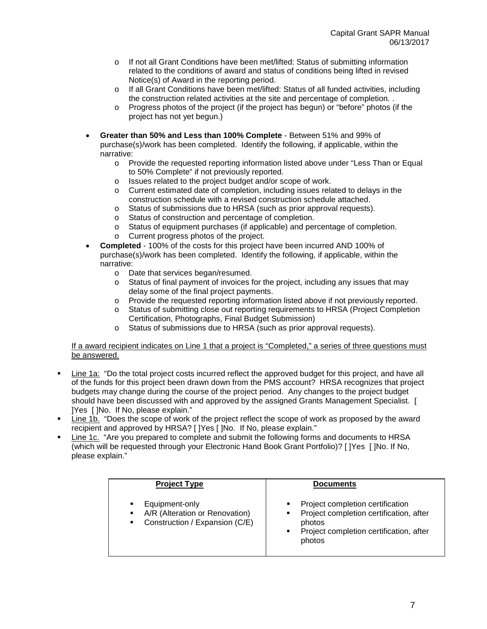- o If not all Grant Conditions have been met/lifted: Status of submitting information related to the conditions of award and status of conditions being lifted in revised Notice(s) of Award in the reporting period.
- o If all Grant Conditions have been met/lifted: Status of all funded activities, including the construction related activities at the site and percentage of completion. .
- o Progress photos of the project (if the project has begun) or "before" photos (if the project has not yet begun.)
- **Greater than 50% and Less than 100% Complete** Between 51% and 99% of purchase(s)/work has been completed. Identify the following, if applicable, within the narrative:
	- o Provide the requested reporting information listed above under "Less Than or Equal to 50% Complete" if not previously reported.
	- o Issues related to the project budget and/or scope of work.
	- o Current estimated date of completion, including issues related to delays in the construction schedule with a revised construction schedule attached.
	- o Status of submissions due to HRSA (such as prior approval requests).<br>
	o Status of construction and percentage of completion.
	- Status of construction and percentage of completion.
	- o Status of equipment purchases (if applicable) and percentage of completion.
	- o Current progress photos of the project.
- **Completed** 100% of the costs for this project have been incurred AND 100% of purchase(s)/work has been completed. Identify the following, if applicable, within the narrative:
	- o Date that services began/resumed.
	- o Status of final payment of invoices for the project, including any issues that may delay some of the final project payments.
	- o Provide the requested reporting information listed above if not previously reported.
	- o Status of submitting close out reporting requirements to HRSA (Project Completion Certification, Photographs, Final Budget Submission)
	- o Status of submissions due to HRSA (such as prior approval requests).

#### If a award recipient indicates on Line 1 that a project is "Completed," a series of three questions must be answered.

- Line 1a: "Do the total project costs incurred reflect the approved budget for this project, and have all of the funds for this project been drawn down from the PMS account? HRSA recognizes that project budgets may change during the course of the project period. Any changes to the project budget should have been discussed with and approved by the assigned Grants Management Specialist. [ ]Yes [ ]No. If No, please explain."
- Line 1b. "Does the scope of work of the project reflect the scope of work as proposed by the award recipient and approved by HRSA? [ ]Yes [ ]No. If No, please explain."
- Line 1c. "Are you prepared to complete and submit the following forms and documents to HRSA (which will be requested through your Electronic Hand Book Grant Portfolio)? [ ]Yes [ ]No. If No, please explain."

| <b>Project Type</b>                                                                                                                      | <b>Documents</b>                                                                                                                                          |
|------------------------------------------------------------------------------------------------------------------------------------------|-----------------------------------------------------------------------------------------------------------------------------------------------------------|
| Equipment-only<br>$\blacksquare$<br>A/R (Alteration or Renovation)<br>$\blacksquare$<br>Construction / Expansion (C/E)<br>$\blacksquare$ | Project completion certification<br>٠<br>Project completion certification, after<br>٠<br>photos<br>Project completion certification, after<br>٠<br>photos |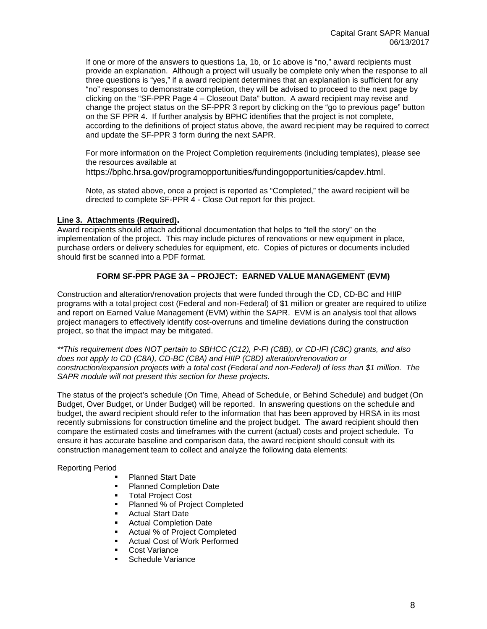If one or more of the answers to questions 1a, 1b, or 1c above is "no," award recipients must provide an explanation. Although a project will usually be complete only when the response to all three questions is "yes," if a award recipient determines that an explanation is sufficient for any "no" responses to demonstrate completion, they will be advised to proceed to the next page by clicking on the "SF-PPR Page 4 – Closeout Data" button. A award recipient may revise and change the project status on the SF-PPR 3 report by clicking on the "go to previous page" button on the SF PPR 4. If further analysis by BPHC identifies that the project is not complete, according to the definitions of project status above, the award recipient may be required to correct and update the SF-PPR 3 form during the next SAPR.

For more information on the Project Completion requirements (including templates), please see the resources available at [https://bphc.hrsa.gov/programopportunities/fundingopportunities/capdev.html.](https://bphc.hrsa.gov/programopportunities/fundingopportunities/capdev.html)

Note, as stated above, once a project is reported as "Completed," the award recipient will be directed to complete SF-PPR 4 - Close Out report for this project.

#### <span id="page-7-0"></span>**Line 3. Attachments (Required).**

Award recipients should attach additional documentation that helps to "tell the story" on the implementation of the project. This may include pictures of renovations or new equipment in place, purchase orders or delivery schedules for equipment, etc. Copies of pictures or documents included should first be scanned into a PDF format.

#### **\_\_\_\_\_\_\_\_\_\_\_\_\_\_\_\_\_\_\_\_\_\_\_\_\_\_\_\_\_\_\_\_\_\_\_\_\_\_\_\_\_\_\_\_\_\_\_ FORM SF-PPR PAGE 3A – PROJECT: EARNED VALUE MANAGEMENT (EVM)**

<span id="page-7-1"></span>Construction and alteration/renovation projects that were funded through the CD, CD-BC and HIIP programs with a total project cost (Federal and non-Federal) of \$1 million or greater are required to utilize and report on Earned Value Management (EVM) within the SAPR. EVM is an analysis tool that allows project managers to effectively identify cost-overruns and timeline deviations during the construction project, so that the impact may be mitigated.

*\*\*This requirement does NOT pertain to SBHCC (C12), P-FI (C8B), or CD-IFI (C8C) grants, and also does not apply to CD (C8A), CD-BC (C8A) and HIIP (C8D) alteration/renovation or construction/expansion projects with a total cost (Federal and non-Federal) of less than \$1 million. The SAPR module will not present this section for these projects.*

The status of the project's schedule (On Time, Ahead of Schedule, or Behind Schedule) and budget (On Budget, Over Budget, or Under Budget) will be reported. In answering questions on the schedule and budget, the award recipient should refer to the information that has been approved by HRSA in its most recently submissions for construction timeline and the project budget. The award recipient should then compare the estimated costs and timeframes with the current (actual) costs and project schedule. To ensure it has accurate baseline and comparison data, the award recipient should consult with its construction management team to collect and analyze the following data elements:

Reporting Period

- Planned Start Date
- Planned Completion Date
- Total Project Cost
- Planned % of Project Completed
- **Actual Start Date**
- Actual Completion Date
- Actual % of Project Completed
- Actual Cost of Work Performed
- Cost Variance
- Schedule Variance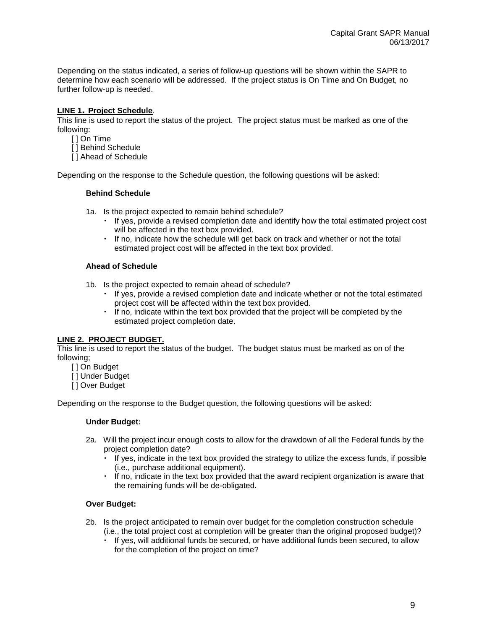Depending on the status indicated, a series of follow-up questions will be shown within the SAPR to determine how each scenario will be addressed. If the project status is On Time and On Budget, no further follow-up is needed.

#### <span id="page-8-0"></span>**LINE 1. Project Schedule**.

This line is used to report the status of the project. The project status must be marked as one of the following:

- [ ] On Time
- [ ] Behind Schedule
- [ ] Ahead of Schedule

Depending on the response to the Schedule question, the following questions will be asked:

#### **Behind Schedule**

- 1a. Is the project expected to remain behind schedule?
	- If yes, provide a revised completion date and identify how the total estimated project cost will be affected in the text box provided.
	- If no, indicate how the schedule will get back on track and whether or not the total estimated project cost will be affected in the text box provided.

#### **Ahead of Schedule**

- 1b. Is the project expected to remain ahead of schedule?
	- If yes, provide a revised completion date and indicate whether or not the total estimated project cost will be affected within the text box provided.
	- If no, indicate within the text box provided that the project will be completed by the estimated project completion date.

#### <span id="page-8-1"></span>**LINE 2. PROJECT BUDGET.**

This line is used to report the status of the budget. The budget status must be marked as on of the following;

- [ ] On Budget
- [ ] Under Budget
- $\overline{[]}$  Over Budget

Depending on the response to the Budget question, the following questions will be asked:

#### **Under Budget:**

- 2a. Will the project incur enough costs to allow for the drawdown of all the Federal funds by the project completion date?
	- $\cdot$  If yes, indicate in the text box provided the strategy to utilize the excess funds, if possible (i.e., purchase additional equipment).
	- If no, indicate in the text box provided that the award recipient organization is aware that the remaining funds will be de-obligated.

#### **Over Budget:**

- 2b. Is the project anticipated to remain over budget for the completion construction schedule (i.e., the total project cost at completion will be greater than the original proposed budget)?
	- If yes, will additional funds be secured, or have additional funds been secured, to allow for the completion of the project on time?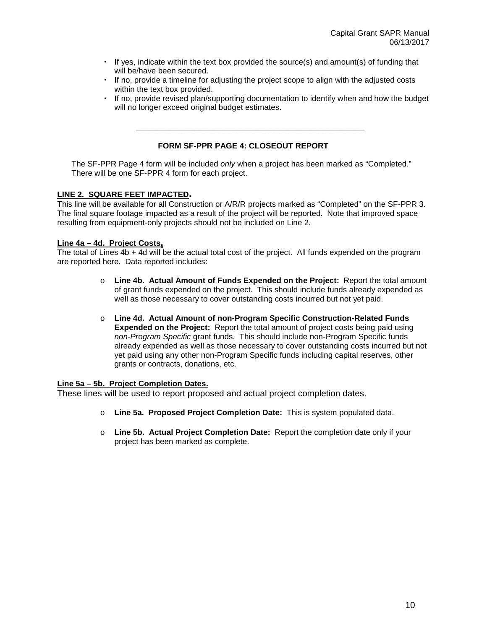- If yes, indicate within the text box provided the source(s) and amount(s) of funding that will be/have been secured.
- If no, provide a timeline for adjusting the project scope to align with the adjusted costs within the text box provided.
- If no, provide revised plan/supporting documentation to identify when and how the budget will no longer exceed original budget estimates.

#### **FORM SF-PPR PAGE 4: CLOSEOUT REPORT**

**\_\_\_\_\_\_\_\_\_\_\_\_\_\_\_\_\_\_\_\_\_\_\_\_\_\_\_\_\_\_\_\_\_\_\_\_\_\_\_\_\_\_\_\_\_\_\_**

<span id="page-9-0"></span>The SF-PPR Page 4 form will be included *only* when a project has been marked as "Completed." There will be one SF-PPR 4 form for each project.

#### <span id="page-9-1"></span>**LINE 2. SQUARE FEET IMPACTED.**

This line will be available for all Construction or A/R/R projects marked as "Completed" on the SF-PPR 3. The final square footage impacted as a result of the project will be reported. Note that improved space resulting from equipment-only projects should not be included on Line 2.

#### <span id="page-9-2"></span>**Line 4a – 4d. Project Costs.**

The total of Lines 4b + 4d will be the actual total cost of the project. All funds expended on the program are reported here. Data reported includes:

- o **Line 4b. Actual Amount of Funds Expended on the Project:** Report the total amount of grant funds expended on the project. This should include funds already expended as well as those necessary to cover outstanding costs incurred but not yet paid.
- o **Line 4d. Actual Amount of non-Program Specific Construction-Related Funds Expended on the Project:** Report the total amount of project costs being paid using *non-Program Specific* grant funds. This should include non-Program Specific funds already expended as well as those necessary to cover outstanding costs incurred but not yet paid using any other non-Program Specific funds including capital reserves, other grants or contracts, donations, etc.

#### <span id="page-9-3"></span>**Line 5a – 5b. Project Completion Dates.**

These lines will be used to report proposed and actual project completion dates.

- o **Line 5a. Proposed Project Completion Date:** This is system populated data.
- o **Line 5b. Actual Project Completion Date:** Report the completion date only if your project has been marked as complete.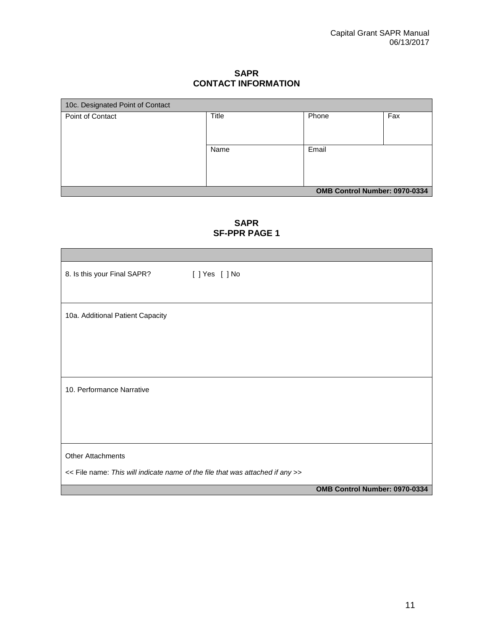**SAPR CONTACT INFORMATION**

<span id="page-10-0"></span>

| 10c. Designated Point of Contact |       |                               |     |  |  |
|----------------------------------|-------|-------------------------------|-----|--|--|
| Point of Contact                 | Title | Phone                         | Fax |  |  |
|                                  |       |                               |     |  |  |
|                                  |       |                               |     |  |  |
|                                  | Name  | Email                         |     |  |  |
|                                  |       |                               |     |  |  |
|                                  |       |                               |     |  |  |
|                                  |       |                               |     |  |  |
|                                  |       |                               |     |  |  |
|                                  |       | OMB Control Number: 0970-0334 |     |  |  |

**SAPR SF-PPR PAGE 1**

| 8. Is this your Final SAPR?                                                   | [ ] Yes [ ] No |                               |
|-------------------------------------------------------------------------------|----------------|-------------------------------|
|                                                                               |                |                               |
| 10a. Additional Patient Capacity                                              |                |                               |
|                                                                               |                |                               |
|                                                                               |                |                               |
|                                                                               |                |                               |
|                                                                               |                |                               |
| 10. Performance Narrative                                                     |                |                               |
|                                                                               |                |                               |
|                                                                               |                |                               |
|                                                                               |                |                               |
|                                                                               |                |                               |
| <b>Other Attachments</b>                                                      |                |                               |
| << File name: This will indicate name of the file that was attached if any >> |                |                               |
|                                                                               |                | OMB Control Number: 0970-0334 |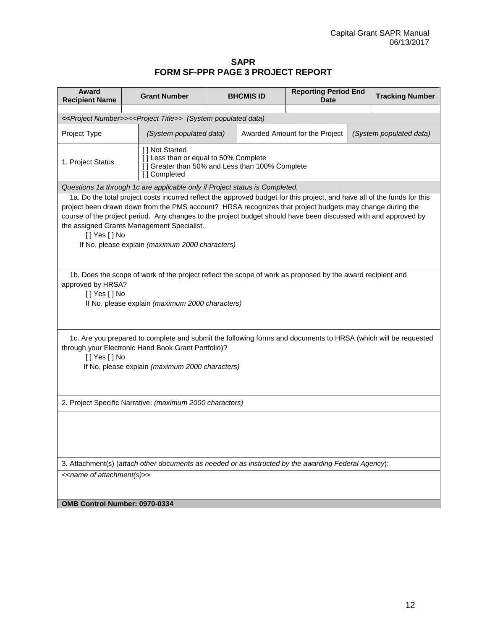#### **SAPR FORM SF-PPR PAGE 3 PROJECT REPORT**

<span id="page-11-0"></span>

| Award<br><b>Recipient Name</b>                                                                                                                                                                                                           | <b>Grant Number</b>                                                                                                                                                                                                                                                                                                                                                                                                                                      |                                                                                      | <b>Reporting Period End</b><br><b>BHCMIS ID</b><br>Date |  |  | <b>Tracking Number</b> |  |  |
|------------------------------------------------------------------------------------------------------------------------------------------------------------------------------------------------------------------------------------------|----------------------------------------------------------------------------------------------------------------------------------------------------------------------------------------------------------------------------------------------------------------------------------------------------------------------------------------------------------------------------------------------------------------------------------------------------------|--------------------------------------------------------------------------------------|---------------------------------------------------------|--|--|------------------------|--|--|
|                                                                                                                                                                                                                                          |                                                                                                                                                                                                                                                                                                                                                                                                                                                          |                                                                                      |                                                         |  |  |                        |  |  |
| < <project number="">&gt;&lt;<project title="">&gt; (System populated data)</project></project>                                                                                                                                          |                                                                                                                                                                                                                                                                                                                                                                                                                                                          |                                                                                      |                                                         |  |  |                        |  |  |
| Project Type                                                                                                                                                                                                                             |                                                                                                                                                                                                                                                                                                                                                                                                                                                          | (System populated data)<br>Awarded Amount for the Project<br>(System populated data) |                                                         |  |  |                        |  |  |
| 1. Project Status                                                                                                                                                                                                                        | [] Not Started<br>[] Less than or equal to 50% Complete<br>[] Greater than 50% and Less than 100% Complete<br>[] Completed                                                                                                                                                                                                                                                                                                                               |                                                                                      |                                                         |  |  |                        |  |  |
|                                                                                                                                                                                                                                          | Questions 1a through 1c are applicable only if Project status is Completed.                                                                                                                                                                                                                                                                                                                                                                              |                                                                                      |                                                         |  |  |                        |  |  |
| [] Yes [] No                                                                                                                                                                                                                             | 1a. Do the total project costs incurred reflect the approved budget for this project, and have all of the funds for this<br>project been drawn down from the PMS account? HRSA recognizes that project budgets may change during the<br>course of the project period. Any changes to the project budget should have been discussed with and approved by<br>the assigned Grants Management Specialist.<br>If No, please explain (maximum 2000 characters) |                                                                                      |                                                         |  |  |                        |  |  |
| 1b. Does the scope of work of the project reflect the scope of work as proposed by the award recipient and<br>approved by HRSA?<br>[] Yes[] No<br>If No, please explain (maximum 2000 characters)                                        |                                                                                                                                                                                                                                                                                                                                                                                                                                                          |                                                                                      |                                                         |  |  |                        |  |  |
| 1c. Are you prepared to complete and submit the following forms and documents to HRSA (which will be requested<br>through your Electronic Hand Book Grant Portfolio)?<br>[] Yes [] No<br>If No, please explain (maximum 2000 characters) |                                                                                                                                                                                                                                                                                                                                                                                                                                                          |                                                                                      |                                                         |  |  |                        |  |  |
| 2. Project Specific Narrative: (maximum 2000 characters)                                                                                                                                                                                 |                                                                                                                                                                                                                                                                                                                                                                                                                                                          |                                                                                      |                                                         |  |  |                        |  |  |
|                                                                                                                                                                                                                                          |                                                                                                                                                                                                                                                                                                                                                                                                                                                          |                                                                                      |                                                         |  |  |                        |  |  |
|                                                                                                                                                                                                                                          | 3. Attachment(s) (attach other documents as needed or as instructed by the awarding Federal Agency):                                                                                                                                                                                                                                                                                                                                                     |                                                                                      |                                                         |  |  |                        |  |  |
| < <name attachment(s)="" of="">&gt;</name>                                                                                                                                                                                               |                                                                                                                                                                                                                                                                                                                                                                                                                                                          |                                                                                      |                                                         |  |  |                        |  |  |
| OMB Control Number: 0970-0334                                                                                                                                                                                                            |                                                                                                                                                                                                                                                                                                                                                                                                                                                          |                                                                                      |                                                         |  |  |                        |  |  |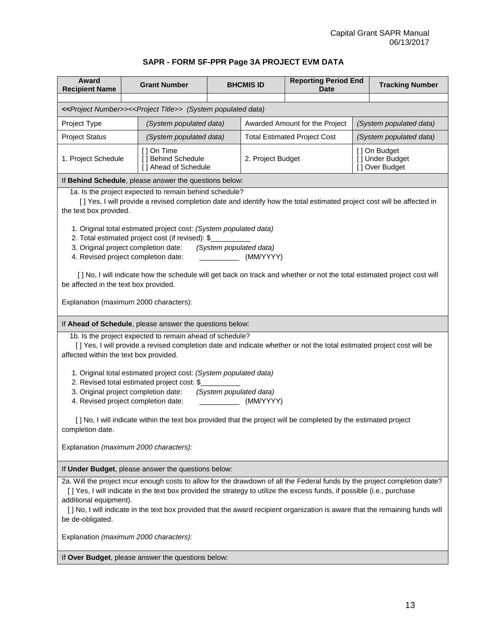#### **SAPR - FORM SF-PPR Page 3A PROJECT EVM DATA**

<span id="page-12-0"></span>

| Award<br><b>Recipient Name</b>                                                                                                                                                                                                                                                 |                                        | <b>Grant Number</b>                                               | <b>BHCMIS ID</b> |                         | <b>Reporting Period End</b><br><b>Date</b> |                                                   | <b>Tracking Number</b>                                                                                                  |
|--------------------------------------------------------------------------------------------------------------------------------------------------------------------------------------------------------------------------------------------------------------------------------|----------------------------------------|-------------------------------------------------------------------|------------------|-------------------------|--------------------------------------------|---------------------------------------------------|-------------------------------------------------------------------------------------------------------------------------|
|                                                                                                                                                                                                                                                                                |                                        |                                                                   |                  |                         |                                            |                                                   |                                                                                                                         |
| < <project number="">&gt;&lt;<project title="">&gt; (System populated data)</project></project>                                                                                                                                                                                |                                        |                                                                   |                  |                         |                                            |                                                   |                                                                                                                         |
| Project Type                                                                                                                                                                                                                                                                   |                                        | (System populated data)<br>Awarded Amount for the Project         |                  |                         | (System populated data)                    |                                                   |                                                                                                                         |
| <b>Project Status</b>                                                                                                                                                                                                                                                          |                                        | (System populated data)                                           |                  |                         | <b>Total Estimated Project Cost</b>        |                                                   | (System populated data)                                                                                                 |
| 1. Project Schedule                                                                                                                                                                                                                                                            |                                        | [ ] On Time<br>[] Behind Schedule<br>[] Ahead of Schedule         |                  | 2. Project Budget       |                                            | [] On Budget<br>[] Under Budget<br>[] Over Budget |                                                                                                                         |
| If Behind Schedule, please answer the questions below:                                                                                                                                                                                                                         |                                        |                                                                   |                  |                         |                                            |                                                   |                                                                                                                         |
| the text box provided.                                                                                                                                                                                                                                                         |                                        | 1a. Is the project expected to remain behind schedule?            |                  |                         |                                            |                                                   | [] Yes, I will provide a revised completion date and identify how the total estimated project cost will be affected in  |
|                                                                                                                                                                                                                                                                                |                                        | 1. Original total estimated project cost: (System populated data) |                  |                         |                                            |                                                   |                                                                                                                         |
| 3. Original project completion date:                                                                                                                                                                                                                                           |                                        | 2. Total estimated project cost (if revised): \$                  |                  | (System populated data) |                                            |                                                   |                                                                                                                         |
| 4. Revised project completion date:                                                                                                                                                                                                                                            |                                        |                                                                   |                  | (MM/YYYY)               |                                            |                                                   |                                                                                                                         |
| be affected in the text box provided.                                                                                                                                                                                                                                          |                                        |                                                                   |                  |                         |                                            |                                                   | [] No, I will indicate how the schedule will get back on track and whether or not the total estimated project cost will |
| Explanation (maximum 2000 characters):                                                                                                                                                                                                                                         |                                        |                                                                   |                  |                         |                                            |                                                   |                                                                                                                         |
| If Ahead of Schedule, please answer the questions below:                                                                                                                                                                                                                       |                                        |                                                                   |                  |                         |                                            |                                                   |                                                                                                                         |
| 1b. Is the project expected to remain ahead of schedule?<br>[] Yes, I will provide a revised completion date and indicate whether or not the total estimated project cost will be<br>affected within the text box provided.                                                    |                                        |                                                                   |                  |                         |                                            |                                                   |                                                                                                                         |
| 1. Original total estimated project cost: (System populated data)<br>2. Revised total estimated project cost: \$<br>3. Original project completion date:<br>(System populated data)                                                                                            |                                        |                                                                   |                  |                         |                                            |                                                   |                                                                                                                         |
| 4. Revised project completion date:<br>(MM/YYYY)                                                                                                                                                                                                                               |                                        |                                                                   |                  |                         |                                            |                                                   |                                                                                                                         |
| [] No, I will indicate within the text box provided that the project will be completed by the estimated project<br>completion date.                                                                                                                                            |                                        |                                                                   |                  |                         |                                            |                                                   |                                                                                                                         |
| Explanation (maximum 2000 characters):                                                                                                                                                                                                                                         |                                        |                                                                   |                  |                         |                                            |                                                   |                                                                                                                         |
| If Under Budget, please answer the questions below:                                                                                                                                                                                                                            |                                        |                                                                   |                  |                         |                                            |                                                   |                                                                                                                         |
| 2a. Will the project incur enough costs to allow for the drawdown of all the Federal funds by the project completion date?<br>[] Yes, I will indicate in the text box provided the strategy to utilize the excess funds, if possible (i.e., purchase<br>additional equipment). |                                        |                                                                   |                  |                         |                                            |                                                   |                                                                                                                         |
| [] No, I will indicate in the text box provided that the award recipient organization is aware that the remaining funds will<br>be de-obligated.                                                                                                                               |                                        |                                                                   |                  |                         |                                            |                                                   |                                                                                                                         |
|                                                                                                                                                                                                                                                                                | Explanation (maximum 2000 characters): |                                                                   |                  |                         |                                            |                                                   |                                                                                                                         |
| If Over Budget, please answer the questions below:                                                                                                                                                                                                                             |                                        |                                                                   |                  |                         |                                            |                                                   |                                                                                                                         |